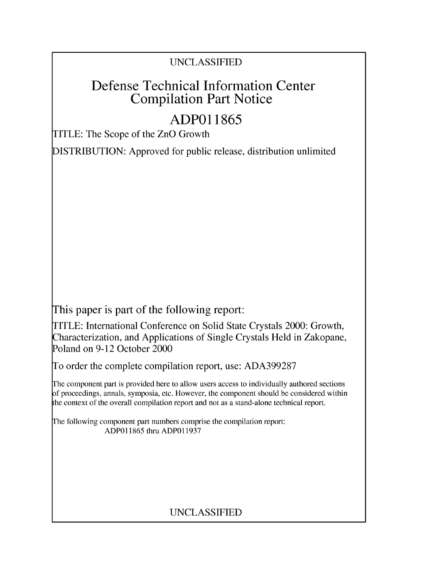# UNCLASSIFIED

# Defense Technical Information Center Compilation Part Notice

# **ADPO 11865**

TITLE: The Scope of the ZnO Growth

DISTRIBUTION: Approved for public release, distribution unlimited

This paper is part of the following report:

TITLE: International Conference on Solid State Crystals 2000: Growth, Characterization, and Applications of Single Crystals Held in Zakopane, Poland on 9-12 October 2000

To order the complete compilation report, use: ADA399287

The component part is provided here to allow users access to individually authored sections f proceedings, annals, symposia, etc. However, the component should be considered within [he context of the overall compilation report and not as a stand-alone technical report.

The following component part numbers comprise the compilation report: ADP011865 thru ADP011937

# UNCLASSIFIED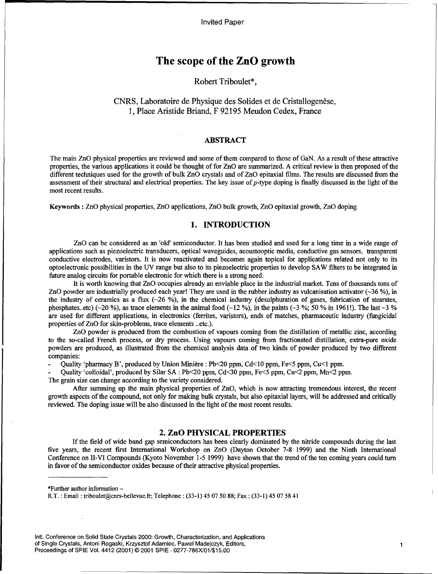Invited Paper

# The scope of the ZnO growth

## Robert Triboulet\*,

# CNRS, Laboratoire de Physique des Solides et de Cristallogenèse, 1, Place Aristide Briand, F 92195 Meudon Cedex, France

## ABSTRACT

The main ZnO physical properties are reviewed and some of them compared to those of GaN. As a result of these attractive properties, the various applications it could be thought of for ZnO are summarized. A critical review is then proposed of the different techniques used for the growth of bulk ZnO crystals and of ZnO epitaxial films. The results are discussed from the assessment of their structural and electrical properties. The key issue of p-type doping is finally discussed in the light of the most recent results.

Keywords **:** ZnO physical properties, ZnO applications, ZnO bulk growth, ZnO epitaxial growth, ZnO doping

## 1. **INTRODUCTION**

ZnO can be considered as an 'old' semiconductor. It has been studied and used for a long time in a wide range of applications such as piezoelectric transducers, optical waveguides, acoustooptic media, conductive gas sensors, transparent conductive electrodes, varistors. It is now reactivated and becomes again topical for applications related not only to its optoelectronic possibilities in the UV range but also to its piezoelectric properties to develop SAW filters to be integrated in future analog circuits for portable electronic for which there is a strong need.

It is worth knowing that ZnO occupies already an enviable place in the industrial market. Tens of thousands tons of ZnO powder are industrially produced each year! They are used in the rubber industry as vulcanisation activator (-36 **%),** in the industry of ceramics as a flux (-26 **%),** in the chemical industry (desulphuration of gases, fabrication of stearates, phosphates..etc) (-20 **%),** as trace elements in the animal food (-12 **%),** in the paints (-3 %; *50* % in 1961!). The last -3 % are used for different applications, in electronics (ferrites, varistors), ends of matches, pharmaceutic industry (fungicidal properties of ZnO for skin-problems, trace elements ..etc.).

ZnO powder is produced from the combustion of vapours coming from the distillation of metallic zinc, according to the so-called French process, or dry process. Using vapours coming from fractionated distillation, extra-pure oxide powders are produced, as illustrated from the chemical analysis data of two kinds of powder produced by two different companies:

Quality 'pharmacy B', produced by Union Minière : Pb<20 ppm, Cd<10 ppm, Fe<5 ppm, Cu<1 ppm.

**-** Quality 'colloidal', produced by Silar SA : Pb<20 ppm, Cd<30 ppm, Fe<5 ppm, Cu<2 ppm, Mn<2 ppm.

The grain size can change according to the variety considered.

After summing up the main physical properties of ZnO, which is now attracting tremendous interest, the recent growth aspects of the compound, not only for making bulk crystals, but also epitaxial layers, will be addressed and critically reviewed. The doping issue will be also discussed in the light of the most recent results.

## 2. ZnO PHYSICAL PROPERTIES

If the field of wide band gap semiconductors has been clearly dominated by the nitride compounds during the last five years, the recent first International Workshop on ZnO (Dayton October 7-8 1999) and the Ninth International Conference on II-VI Compounds (Kyoto November 1-5 1999) have shown that the trend of the ten coming years could turn in favor of the semiconductor oxides because of their attractive physical properties.

\*Further author information  $-$ 

RtT. : Email : triboulet@cnrs-bellevue.fr; Telephone: (33-1) 45 07 50 88; Fax: (33-1) 45 07 58 41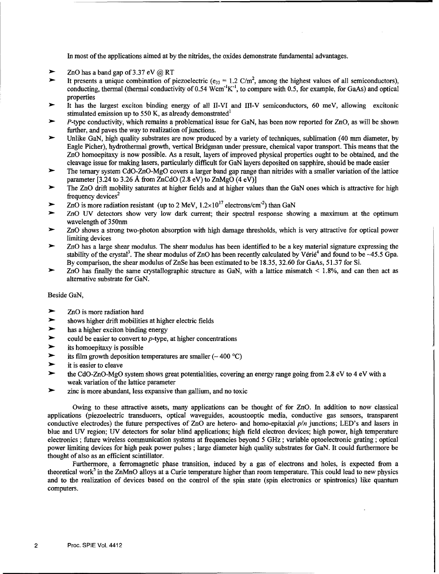In most of the applications aimed at by the nitrides, the oxides demonstrate fundamental advantages.

- ZnO has a band gap of 3.37 eV **@** RT
- It presents a unique combination of piezoelectric ( $e_{33} = 1.2$  C/m<sup>2</sup>, among the highest values of all semiconductors) conducting, thermal (thermal conductivity of 0.54 Wcm<sup>-1</sup>K<sup>-1</sup>, to compare with 0.5, for example, for GaAs) and optical properties
- It has the largest exciton binding energy of all II-VI and III-V semiconductors, 60 meV, allowing excitonic stimulated emission up to 550 K, as already demonstrated<sup>1</sup>
- •" P-type conductivity, which remains a problematical issue for GaN, has been now reported for ZnO, as will be shown further, and paves the way to realization of junctions.
- Unlike GaN, high quality substrates are now produced by a variety of techniques, sublimation (40 mm diameter, by Eagle Picher), hydrothermal growth, vertical Bridgman under pressure, chemical vapor transport. This means that the ZnO homoepitaxy is now possible. As a result, layers of improved physical properties ought to be obtained, and the cleavage issue for making lasers, particularly difficult for GaN layers deposited on sapphire, should be made easier
- The ternary system CdO-ZnO-MgO covers a larger band gap range than nitrides with a smaller variation of the lattice parameter [3.24 to 3.26 Å from ZnCdO (2.8 eV) to ZnMgO (4 eV)]
- The ZnO drift mobility saturates at higher fields and at higher values than the GaN ones which is attractive for high frequency devices<sup>2</sup>
- $\blacktriangleright$  ZnO is more radiation resistant (up to 2 MeV,  $1.2 \times 10^{17}$  electrons/cm<sup>-2</sup>) than GaN
- ZnO UV detectors show very low dark current; their spectral response showing a maximum at the optimum wavelength of 350nm
- •- ZnO shows a strong two-photon absorption with high damage thresholds, which is very attractive for optical power limiting devices
- •- ZnO has a large shear modulus. The shear modulus has been identified to be a key material signature expressing the stability of the crystal<sup>3</sup>. The shear modulus of ZnO has been recently calculated by Vérié<sup>4</sup> and found to be  $\sim$ 45.5 Gpa. By comparison, the shear modulus of ZnSe has been estimated to be 18.35, 32.60 for GaAs, 51.37 for Si.
- •" ZnO has finally the same crystallographic structure as GaN, with a lattice mismatch **<** 1.8%, and can then act as alternative substrate for GaN.

#### Beside GaN,

- ZnO is more radiation hard
- shows higher drift mobilities at higher electric fields
- has a higher exciton binding energy
- could be easier to convert to  $p$ -type, at higher concentrations
- its homoepitaxy is possible
- its film growth deposition temperatures are smaller  $(-400 °C)$
- it is easier to cleave
- the CdO-ZnO-MgO system shows great potentialities, covering an energy range going from 2.8 eV to 4 eV with a weak variation of the lattice parameter
- ince is more abundant, less expansive than gallium, and no toxic

Owing to these attractive assets, many applications can be thought of for ZnO. In addition to now classical applications (piezoelectric transducers, optical waveguides, acoustooptic media, conductive gas sensors, transparent conductive electrodes) the future perspectives of ZnO are hetero- and homo-epitaxial *p/n* junctions; LED's and lasers in blue and UV region; UV detectors for solar blind applications; high field electron devices; high power, high temperature electronics ; future wireless communication systems at frequencies beyond 5 GHz ; variable optoelectronic grating; optical power limiting devices for high peak power pulses ; large diameter high quality substrates for GaN. It could furthermore be thought of also as an efficient scintillator.

Furthermore, a ferromagnetic phase transition, induced by a gas of electrons and holes, is expected from a theoretical work<sup>5</sup> in the ZnMnO alloys at a Curie temperature higher than room temperature. This could lead to new physics and to the realization of devices based on the control of the spin state (spin electronics or spintronics) like quantum computers.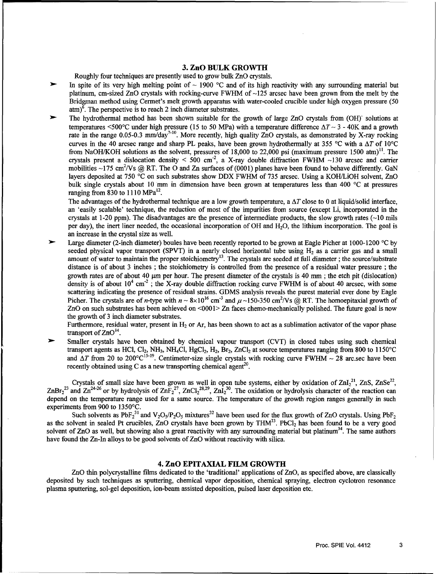# **3.** ZnO BULK GROWTH

Roughly four techniques are presently used to grow bulk ZnO crystals.

- In spite of its very high melting point of  $\sim$  1900 °C and of its high reactivity with any surrounding material but platinum, cm-sized ZnO crystals with rocking-curve FWHM of  $\sim$ 125 arcsec have been grown from the melt by the Bridgman method using Cermet's melt growth apparatus with water-cooled crucible under high oxygen pressure (50  $atm$ <sup>6</sup>. The perspective is to reach 2 inch diameter substrates.
- The hydrothermal method has been shown suitable for the growth of large ZnO crystals from (OH)<sup>-</sup> solutions at temperatures  $\leq 500^{\circ}$ C under high pressure (15 to 50 MPa) with a temperature difference  $\Delta T \sim 3$  - 40K and a growth rate in the range 0.05-0.3 mm/day<sup>7-10</sup>. More recently, high quality ZnO crystals, as demonstrated by X-ray rocking curves in the 40 arcsec range and sharp PL peaks, have been grown hydrothermally at 355 °C with a  $\Delta T$  of 10°C from NaOH/KOH solutions as the solvent, pressures of 18,000 to 22,000 psi (maximum pressure 1500 atm)<sup>11</sup>. The crystals present a dislocation density **<** 500 cm"2 , a X-ray double diffraction FWHM **-130** arcsec and carrier mobilities ~175 cm<sup>2</sup>/Vs @ RT. The O and Zn surfaces of (0001) planes have been found to behave differently. GaN layers deposited at 750 **'C** on such substrates show DDX FWHM of 735 arcsec. Using a KOH/LiOH solvent, ZnO bulk single crystals about 10 mm in dimension have been grown at temperatures less than 400 °C at pressures ranging from 830 to 1110  $MPa^{12}$ .

The advantages of the hydrothermal technique are a low growth temperature, a  $\Delta T$  close to 0 at liquid/solid interface, an 'easily scalable' technique, the reduction of most of the impurities from source (except Li, incorporated in the crystals at 1-20 ppm). The disadvantages are the presence of intermediate products, the slow growth rates  $(-10 \text{ miles})$ per day), the inert liner needed, the occasional incorporation of OH and H20, the lithium incorporation. The goal is an increase in the crystal size as well.

**)-** Large diameter (2-inch diameter) boules have been recently reported to be grown at Eagle Picher at 1000-1200 **'C** by seeded physical vapor transport (SPVT) in a nearly closed horizontal tube using H<sub>2</sub> as a carrier gas and a smal<br>amount of water to maintain the proper stoichiometry<sup>13</sup>. The crystals are seeded at full diameter; the sourc distance is of about 3 inches ; the stoichiometry is controlled from the presence of a residual water pressure ; the growth rates are of about 40  $\mu$ m per hour. The present diameter of the crystals is 40 mm; the etch pit (dislocation) density is of about  $10^4$  cm<sup>-2</sup>; the X-ray double diffraction rocking curve FWHM is of about 40 arcsec, with some scattering indicating the presence of residual strains. GDMS analysis reveals the purest material ever done by Eagle Picher. The crystals are of n-type with  $n \sim 8 \times 10^{16}$  cm<sup>-3</sup> and  $\mu \sim 150$ -350 cm<sup>2</sup>/Vs @ RT. The homoepitaxial growth of ZnO on such substrates has been achieved on <0001> Zn faces chemo-mechanically polished. The future goal is now the growth of 3 inch diameter substrates.

Furthermore, residual water, present in  $H_2$  or Ar, has been shown to act as a sublimation activator of the vapor phase transport of  $ZnO<sup>14</sup>$ .

**31-** Smaller crystals have been obtained by chemical vapour transport (CVT) in closed tubes using such chemical transport agents as HCl, Cl<sub>2</sub>, NH<sub>3</sub>, NH<sub>4</sub>Cl, HgCl<sub>2</sub>, H<sub>2</sub>, Br<sub>2</sub>, ZnCl<sub>2</sub> at source temperatures ranging from 800 to 1150°C and  $\Delta T$  from 20 to 200°C<sup>15-19</sup>. Centimeter-size single crystals with rocking curve FWHM ~ 28 arc.sec have been recently obtained using C as a new transporting chemical agent<sup>20</sup>.

Crystals of small size have been grown as well in open tube systems, either by oxidation of  $ZnI_2^{21}$ , ZnS,  $ZnSe^{22}$ , ZnBr<sub>2</sub><sup>23</sup> and Zn<sup>24-26</sup> or by hydrolysis of ZnF<sub>2</sub><sup>27</sup>, ZnCl<sub>2</sub><sup>28,29</sup>, ZnI<sub>2</sub><sup>30</sup>. The oxidation or hydrolysis character of the reaction can depend on the temperature range used for a same source. The temperature of the growth region ranges generally in such experiments from 900 to 1350'C.

Such solvents as PbF<sub>2</sub><sup>31</sup> and V<sub>2</sub>O<sub>5</sub>/P<sub>2</sub>O<sub>5</sub> mixtures<sup>32</sup> have been used for the flux growth of ZnO crystals. Using PbF<sub>2</sub> as the solvent in sealed Pt crucibles, ZnO crystals have been grown by THM $^{33}$ . PbCl<sub>2</sub> has been found to be a very good solvent of  $ZnO$  as well, but showing also a great reactivity with any surrounding material but platinum<sup>34</sup>. The same authors have found the Zn-In alloys to be good solvents of ZnO without reactivity with silica.

### 4. ZnO EPITAXIAL FILM GROWTH

ZnO thin polycrystalline films dedicated to the 'traditional' applications of ZnO, as specified above, are classically deposited by such techniques as sputtering, chemical vapor deposition, chemical spraying, electron cyclotron resonance plasma sputtering, sol-gel deposition, ion-beam assisted deposition, pulsed laser deposition etc.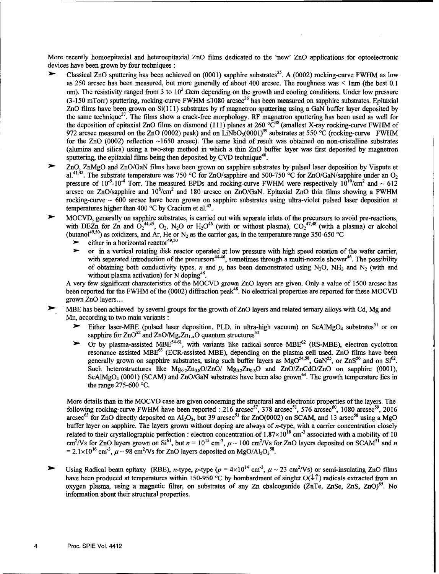More recently homoepitaxial and heteroepitaxial ZnO films dedicated to the 'new' ZnO applications for optoelectronic devices have been grown by four techniques **:**

- Classical ZnO sputtering has been achieved on (0001) sapphire substrates<sup>35</sup>. A (0002) rocking-curve FWHM as low as 250 arcsec has been measured, but more generally of about 400 arcsec. The roughness was < lmm (the best 0.1 nm). The resistivity ranged from 3 to  $10^5 \Omega$ cm depending on the growth and cooling conditions. Under low pressure (3-150 mTorr) sputtering, rocking-curve FWHM  $\leq$ 1080 arcsec<sup>36</sup> has been measured on sapphire substrates. Epitaxial ZnO films have been grown on Si( 111) substrates by rf magnetron sputtering using a GaN buffer layer deposited by the same technique<sup>37</sup>. The films show a crack-free morphology. RF magnetron sputtering has been used as well for the deposition of epitaxial ZnO films on diamond (111) planes at 260  $\rm{°C}^{38}$  (smallest X-ray rocking-curve FWHM of 972 arcsec measured on the ZnO (0002) peak) and on LiNbO<sub>3</sub>(0001)<sup>39</sup> substrates at 550 °C (rocking-curve FWHM for the ZnO (0002) reflection -1650 arcsec). The same kind of result was obtained on non-cristalline substrates (alumina and silica) using a two-step method in which a thin ZnO buffer layer was first deposited by magnetron sputtering, the epitaxial films being then deposited by CVD technique<sup>40</sup>.
- ZnO, ZnMgO and ZnO/GaN films have been grown on sapphire substrates by pulsed laser deposition by Vispute et al.<sup>41,42</sup>. The substrate temperature was 750 °C for ZnO/sapphire and 500-750 °C for ZnO/GaN/sapphire under an O<sub>2</sub> pressure of  $10^{-5}$ -10<sup>-4</sup> Torr. The measured EPDs and rocking-curve FWHM were respectively  $10^{10}$ /cm<sup>2</sup> and  $\sim 612$ arcsec on ZnO/sapphire and  $10^{8}$ /cm<sup>2</sup> and 180 arcsec on ZnO/GaN. Epitaxial ZnO thin films showing a FWHM rocking-curve **-** 600 arcsec have been grown on sapphire substrates using ultra-violet pulsed laser deposition at temperatures higher than 400  $^{\circ}$ C by Cracium et al.<sup>43</sup>.
- MOCVD, generally on sapphire substrates, is carried out with separate inlets of the precursors to avoid pre-reactions, with DEZn for Zn and  $O_2^{44,45}$ ,  $O_2$ , N<sub>2</sub>O or H<sub>2</sub>O<sup>46</sup> (with or without plasma),  $CO_2^{47,48}$  (with a plasma) or alcoho (butanol<sup>49,50</sup>) as oxidizers, and Ar, He or N<sub>2</sub> as the carrier gas, in the temperature range 350-650 °C
	- $\blacktriangleright$  either in a horizontal reactor<sup>49,50</sup>
	- $\triangleright$  or in a vertical rotating disk reactor operated at low pressure with high speed rotation of the wafer carrier, with separated introduction of the precursors<sup>44-46</sup>, sometimes through a multi-nozzle shower<sup>46</sup>. The possibility of obtaining both conductivity types, n and p, has been demonstrated using N<sub>2</sub>O, NH<sub>3</sub> and N<sub>2</sub> (with and without plasma activation) for N doping<sup>46</sup>.

A very few significant characteristics of the MOCVD grown ZnO layers are given. Only a value of 1500 arcsec has been reported for the FWHM of the (0002) diffraction peak<sup>48</sup>. No electrical properties are reported for these MOCVD grown ZnO layers...

MBE has been achieved by several groups for the growth of ZnO layers and related ternary alloys with Cd, Mg and Mn, according to two main variants **:**

- Either laser-MBE (pulsed laser deposition, PLD, in ultra-high vacuum) on ScAlMgO<sub>4</sub> substrates<sup>51</sup> or on sapphire for  $ZnO^{52}$  and  $ZnO/Mg_xZn_{1-x}O$  quantum structures<sup>53</sup>
- Or by plasma-assisted MBE<sup>54-61</sup>, with variants like radical source MBE<sup>62</sup> (RS-MBE), electron cyclotron resonance assisted MBE<sup>63</sup> (ECR-assisted MBE), depending on the plasma cell used. ZnO films have been generally grown on sapphire substrates, using such buffer layers as  $MgO^{54,58}$ , GaN<sup>55</sup>, or ZnS<sup>56</sup> and on Si<sup>62</sup>. Such heterostructures like  $Mg_{0.2}Zn_{0.8}O/ZnO/Mg_{0.2}Zn_{0.8}O$  and  $ZnO/ZnCdO/ZnO$  on sapphire (0001) ScAlMgO<sub>4</sub> (0001) (SCAM) and ZnO/GaN substrates have been also grown<sup>64</sup>. The growth temperature lies in the range 275-600 **'C.**

More details than in the MOCVD case are given concerning the structural and electronic properties of the layers. The following rocking-curve FWHM have been reported : 216  $\arcsec^{57}$ , 378  $\arcsec^{51}$ , 576  $\arcsec^{60}$ , 1080  $\arsec^{59}$ , 2016 arcsec<sup>63</sup> for ZnO directly deposited on Al<sub>2</sub>O<sub>3</sub>, but 39 arcsec<sup>51</sup> for ZnO(0002) on SCAM, and 13 arsec<sup>58</sup> using a MgC buffer layer on sapphire. The layers grown without doping are always of n-type, with a carrier concentration closely related to their crystallographic perfection : electron concentration of  $1.87 \times 10^{18}$  cm<sup>-3</sup> associated with a mobility of 10 cm<sup>2</sup>/Vs for ZnO layers grown on Si<sup>61</sup>, but  $n = 10^{15}$  cm<sup>3</sup>,  $\mu \sim 100$  cm<sup>2</sup>/Vs for ZnO layers deposited on SCAM<sup>51</sup> and n  $= 2.1 \times 10^{16}$  cm<sup>-3</sup>,  $\mu \sim 98$  cm<sup>2</sup>/Vs for ZnO layers deposited on MgO/Al<sub>2</sub>O<sub>3</sub><sup>58</sup>.

Using Radical beam epitaxy (RBE), *n*-type, *p*-type ( $p = 4 \times 10^{14}$  cm<sup>-3</sup>,  $\mu \sim 23$  cm<sup>2</sup>/Vs) or semi-insulating ZnO films have been produced at temperatures within 150-950 °C by bombardment of singlet  $O(\sqrt[4]{\cdot})$  radicals extracted from an oxygen plasma, using a magnetic filter, on substrates of any  $Zn$  chalcogenide ( $ZnTe$ ,  $ZnSe$ ,  $ZnS$ ,  $ZnO$ )<sup>65</sup>. No information about their structural properties.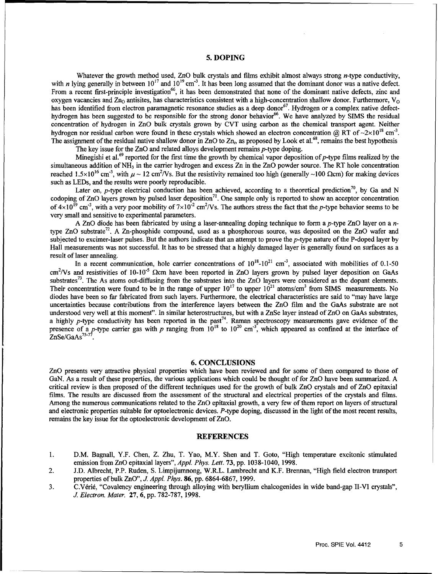#### **5. DOPING**

Whatever the growth method used, ZnO bulk crystals and films exhibit almost always strong *n*-type conductivity, with *n* lying generally in between  $10^{17}$  and  $10^{19}$  cm<sup>-3</sup>. It has been long assumed that the dominant donor was a native defect. From a recent first-principle investigation<sup>66</sup>, it has been demonstrated that none of the dominant native defects, zinc and oxygen vacancies and  $Z_{10}$  antisites, has characteristics consistent with a high-concentration shallow donor. Furthermore,  $V_{\Omega}$ has been identified from electron paramagnetic resonance studies as a deep donor<sup>67</sup>. Hydrogen or a complex native defecthydrogen has been suggested to be responsible for the strong donor behavior<sup>66</sup>. We have analyzed by SIMS the residual concentration of hydrogen in ZnO bulk crystals grown by CVT using carbon as the chemical transport agent. Neither hydrogen nor residual carbon were found in these crystals which showed an electron concentration @ RT of  $\sim 2 \times 10^{18}$  cm<sup>-3</sup>. The assignment of the residual native shallow donor in ZnO to  $Zn_i$ , as proposed by Look et al.<sup>68</sup>, remains the best hypothesis

The key issue for the  $ZnO$  and related alloys development remains  $p$ -type doping.

Minegishi et al.<sup>69</sup> reported for the first time the growth by chemical vapor deposition of p-type films realized by the simultaneous addition of NH<sub>3</sub> in the carrier hydrogen and excess Zn in the ZnO powder source. The RT hole concentration reached  $1.5 \times 10^{16}$  cm<sup>-3</sup>, with  $\mu \sim 12$  cm<sup>2</sup>/Vs. But the resistivity remained too high (generally ~100 Ωcm) for making devices such as LEDs, and the results were poorly reproducible.

Later on, p-type electrical conduction has been achieved, according to a theoretical prediction<sup>70</sup>, by Ga and N codoping of  $ZnO$  layers grown by pulsed laser deposition<sup>71</sup>. One sample only is reported to show an acceptor concentration of  $4\times10^{19}$  cm<sup>-3</sup>, with a very poor mobility of  $7\times10^{-2}$  cm<sup>2</sup>/Vs. The authors stress the fact that the p-type behavior seems to be very small and sensitive to experimental parameters.

A ZnO diode has been fabricated by using a laser-annealing doping technique to form a p-type ZnO layer on a ntype ZnO substrate<sup>72</sup>. A Zn-phosphide compound, used as a phosphorous source, was deposited on the ZnO wafer and subjected to excimer-laser pulses. But the authors indicate that an attempt to prove the *p*-type nature of the P-doped layer by Hall measurements was not successful. It has to be stressed that a highly damaged layer is generally found on surfaces as a result of laser annealing.

In a recent communication, hole carrier concentrations of  $10^{18}$ - $10^{21}$  cm<sup>-3</sup>, associated with mobilities of 0.1-50 cm<sup>2</sup>/Vs and resistivities of 10-10<sup>-5</sup> Ωcm have been reported in ZnO layers grown by pulsed layer deposition on GaAs substrates<sup>73</sup>. The As atoms out-diffusing from the substrates into the ZnO layers were considered as the dopant elements. Their concentration were found to be in the range of upper  $10^{17}$  to upper  $10^{21}$  atoms/cm<sup>3</sup> from SIMS measurements. No diodes have been so far fabricated from such layers. Furthermore, the electrical characteristics are said to "may have large uncertainties because contributions from the interference layers between the ZnO film and the GaAs substrate are not understood very well at this moment". In similar heterostructures, but with a ZnSe layer instead of ZnO on GaAs substrates, a highly p-type conductivity has been reported in the past<sup>74</sup>. Raman spectroscopy measurements gave evidence of the presence of a p-type carrier gas with p ranging from  $10^{18}$  to  $10^{20}$  cm<sup>-3</sup>, which appeared as confined at the interface of  $ZnSe/GaAs<sup>75-77</sup>$ .

#### **6. CONCLUSIONS**

ZnO presents very attractive physical properties which have been reviewed and for some of them compared to those of GaN. As a result of these properties, the various applications which could be thought of for ZnO have been summarized. A critical review is then proposed of the different techniques used for the growth of bulk ZnO crystals and of ZnO epitaxial films. The results are discussed from the assessment of the structural and electrical properties of the crystals and films. Among the numerous communications related to the ZnO epitaxial growth, a very few of them report on layers of structural and electronic properties suitable for optoelectronic devices. P-type doping, discussed in the light of the most recent results, remains the key issue for the optoelectronic development of ZnO.

#### **REFERENCES**

- **1.** D.M. Bagnall, Y.F. Chen, Z. Zhu, T. Yao, M.Y. Shen and T. Goto, "High temperature excitonic stimulated emission from ZnO epitaxial layers", Appl. *Phys. Lett.* 73, pp. 1038-1040, 1998.
- 2. J.D. Albrecht, P.P. Ruden, S. Limpijumnong, W.R.L. Lambrecht and K.F. Brennan, "High field electron transport properties of bulk ZnO", *J. Appl. Phys.* **86,** pp. 6864-6867, 1999.
- 3. C.V6rid, "Covalency engineering through alloying with beryllium chalcogenides in wide band-gap II-VI crystals", *J. Electron. Mater.* 27, 6, pp. 782-787, 1998.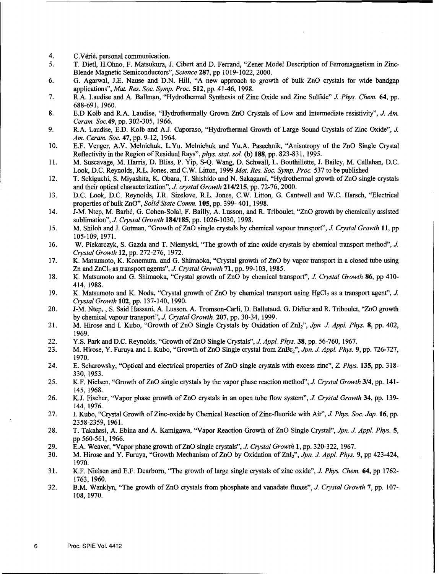- 4. C. Vérié, personal communication.<br>5. T. Dietl. H. Ohno. F. Matsukura. J
- *5.* T. Dietl, H.Ohno, F. Matsukura, J. Cibert and D. Ferrand, "Zener Model Description of Ferromagnetism in Zinc-Blende Magnetic Semiconductors", *Science* 287, pp 10 19-1022, 2000.
- 6. G. Agarwal, J.E. Nause and D.N. Hill, "A new approach to growth of bulk ZnO crystals for wide bandgap applications", *Mat. Res. Soc. Symp. Proc.* 512, pp. 41-46, 1998.
- 7. R.A. Laudise and A. Ballman, "Hydrothermal Synthesis of Zinc Oxide and Zinc Sulfide" *J. Phys. Chem.* 64, pp. 688-691, 1960.
- 8. E.D Kolb and R.A. Laudise, "Hydrothermally Grown ZnO Crystals of Low and Intermediate resistivity", *J. Am. Ceram. Soc.49,* pp. 302-305, 1966.
- 9. R.A. Laudise, E.D. Kolb and A.J. Caporaso, "Hydrothermal Growth of Large Sound Crystals of Zinc Oxide", *J. Am. Ceram. Soc.* 47, pp. 9-12, 1964.
- 10. E.F. Venger, A.V. Melnichuk, L.Yu. Melnichuk and Yu.A. Pasechnik, "Anisotropy of the ZnO Single Crystal Reflectivity in the Region of Residual Rays", *phys. stat. sol.* (b) 188, pp. 823-831, 1995.
- 11. M. Suscavage, M. Harris, D. Bliss, P. Yip, S-Q. Wang, D. Schwall, L. Bouthillette, J. Bailey, M. Callahan, D.C. Look, D.C. Reynolds, R.L. Jones, and C.W. Litton, 1999 *Mat. Res. Soc. Symp. Proc.* 537 to be published
- 12. T. Sekiguchi, S. Miyashita, K. Obara, T. Shishido and N. Sakagami, "Hydrothermal growth of ZnO single crystals and their optical characterization", *J. crystal Growth* 214/215, pp. 72-76, 2000.
- 13. D.C. Look, D.C. Reynolds, J.R. Sizelove, R.L. Jones, C.W. Litton, G. Cantwell and W.C. Harsch, "Electrical properties of bulk ZnO", *Solid State Comm.* 105, pp. 399- 401, 1998.
- 14. J-M. Ntep, M. Barbé, G. Cohen-Solal, F. Bailly, A. Lusson, and R. Triboulet, "ZnO growth by chemically assisted sublimation", **.J** *Crystal Growth* 184/185, pp. 1026-1030, 1998.
- 15. M. Shiloh and J. Gutman, "Growth of ZnO single crystals by chemical vapour transport", J *Crystal Growth* **11,** pp 105-109, 1971.
- 16. W. Piekarczyk, S. Gazda and T. Niemyski, "The growth of zinc oxide crystals by chemical transport method", J. *Crystal Growth* 12, pp. 272-276, 1972.
- 17. K. Matsumoto, K. Konemura. and G. Shimaoka, "Crystal growth of ZnO by vapor transport in a closed tube using Zn and ZnCl<sub>2</sub> as transport agents", *J. Crystal Growth* 71, pp. 99-103, 1985.
- 18. K. Matsumoto and G. Shimaoka, "Crystal growth of ZnO by chemical transport", *J. Crystal Growth* 86, pp 410- 414, 1988.
- 19. K. Matsumoto and K. Noda, "Crystal growth of ZnO by chemical transport using HgCl<sub>2</sub> as a transport agent", *J. Crystal Growth* 102, pp. 137-140, 1990.
- 20. J-M. Ntep,, S. Said Hassani, A. Lusson, A. Tromson-Carli, D. Ballutaud, G. Didier and R. Triboulet, "ZnO growth by chemical vapour transport", J. *Crystal Growth,* 207, pp. 30-34, 1999.
- 21. M. Hirose and I. Kubo, "Growth of ZnO Single Crystals by Oxidation of ZnI2", *Jpn. J. Appl. Phys.* 8, pp. 402, 1969.
- 22. Y.S. Park and D.C. Reynolds, "Growth of ZnO Single Crystals", *J. Appl. Phys.* 38, pp. 56-760, 1967.
- 23. M. Hirose, Y. Furuya and I. Kubo, "Growth of ZnO Single crystal from ZnBr2", *Jpn. J. Appl. Phys.* 9, pp. 726-727, 1970.
- 24. E. Scharowsky, "Optical and electrical properties of ZnO single crystals with excess zinc", *Z. Phys.* 135, pp. 318- 330, 1953.
- 25. K.F. Nielsen, "Growth of ZnO single crystals by the vapor phase reaction method", **J.** *Crystal Growth* 3/4, pp. 141- 145, 1968.
- 26. K.J. Fischer, "Vapor phase growth of ZnO crystals in an open tube flow system", *J. Crystal Growth* 34, pp. 139- 144, 1976.
- 27. I. Kubo, "Crystal Growth of Zinc-oxide by Chemical Reaction of Zinc-fluoride with Air", *J. Phys. Soc. Jap.* **16,** pp. 2358-2359, 1961.
- 28. T. Takahasi, A. Ebina and A. Kamigawa, "Vapor Reaction Growth of ZnO Single Crystal", *Jpn. J Appl. Phys.* 5, pp 560-561, 1966.
- 29. E.A. Weaver, "Vapor phase growth of ZnO single crystals", *J. Crystal Growth* **1,** pp. 320-322, 1967.
- 30. M. Hirose and Y. Furuya, "Growth Mechanism of ZnO by Oxidation of Znr 2", *Jpn. J. Appl. Phys.* 9, pp 423-424, 1970.
- 31. K.F. Nielsen and E.F. Dearborn, "The growth of large single crystals of zinc oxide", *J. Phys. Chem.* 64, pp 1762- 1763, 1960.
- 32. B.M. Wanklyn, "The growth of ZnO crystals from phosphate and vanadate fluxes", **J.** *Crystal Growth* 7, pp. 107- 108, 1970.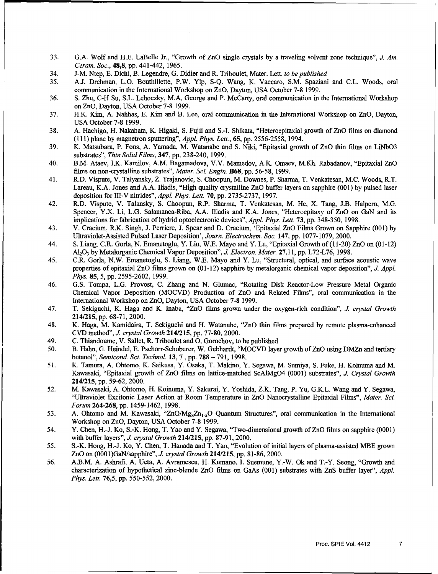- 33. G.A. Wolf and H.E. LaBelle Jr., "Growth of ZnO single crystals by a traveling solvent zone technique", *J. Am. Ceram. Soc.,* 48,8, pp. 441-442, 1965.
- 34. J-M. Ntep, E. Dichi, B. Legendre, G. Didier and R. Triboulet, Mater. Lett. *to be published*
- 35. A.J. Drehman, L.O. Bouthillette, P.W. Yip, S-Q. Wang, K. Vaccaro, S.M. Spaziani and C.L. Woods, oral communication in the International Workshop on ZnO, Dayton, USA October 7-8 1999.
- 36. **S.** Zhu, C-H Su, S.L. Lehoczky, M.A. George and P. McCarty, oral communication in the International Workshop on ZnO, Dayton, USA October 7-8 1999.
- 37. H.K. Kim, A. Nahhas, E. Kim and B. Lee, oral communication in the International Workshop on ZnO, Dayton, USA October 7-8 1999.
- 38. A. Hachigo, H. Nakahata, K. Higaki, S. Fujii and S.-I. Shikata, "Heteroepitaxial growth of ZnO films on diamond (111) plane by magnetron sputtering", *Appl. Phys. Lett.,* 65, pp. 2556-2558, 1994.
- 39. K. Matsubara, P. Fons, A. Yamada, M. Watanabe and S. Niki, "Epitaxial growth of ZnO thin films on LiNbO3 substrates", *Thin Solid Films,* 347, pp. 23 8-240, 1999.
- 40. B.M. Ataev, I.K. Kamilov, A.M. Bagamadova, V.V. Mamedov, A.K. Omaev, M.Kh. Rabadanov, "Epitaxial ZnO films on non-crystalline substrates", *Mater. Sci. Engin.* **B68,** pp. 56-58, 1999.
- 41. R.D. Vispute, V. Talyansky, Z. Trajanovic, S. Choopun, M. Downes, P. Sharma, T. Venkatesan, M.C. Woods, R.T. Lareau, K.A. Jones and A.A. Iliadis, "High quality crystalline ZnO buffer layers on sapphire (001) by pulsed laser deposition for 111-V nitrides", *Appl. Phys. Lett.* 70, pp. 2735-2737, 1997.
- 42. R.D. Vispute, V. Talansky, S. Choopun, R.P. Sharma, T. Venkatesan, M. He, X. Tang, J.B. Halpern, M.G. Spencer, Y.X. Li, L.G. Salamanca-Riba, A.A. Iliadis and K.A. Jones, "Heteroepitaxy of ZnO on GaN and its implications for fabrication of hydrid optoelectronic devices", *Appl. Phys. Lett.* 73, pp. 348-350, 1998.
- 43. V. Cracium, R.K. Singh, J. Perriere, J. Spear and D. Cracium, 'Epitaxial ZnO Films Grown on Sapphire (001) by Ultraviolet-Assisted Pulsed Laser Deposition', *Journ. Electrochem. Soc.* 147, pp. 1077-1079, 2000.
- 44. **S.** Liang, C.R. Gorla, N. Emanetoglu, Y. Liu, W.E. Mayo and Y. Lu, "Epitaxial Growth of(11-20) ZnO on (01-12) A120 3 by Metalorganic Chemical Vapor Deposition", *J. Electron. Mater.* 27,11, pp. L72-L76, 1998.
- 45. C.R. Gorla, N.W. Emanetoglu, S. Liang, W.E. Mayo and Y. Lu, "Structural, optical, and surface acoustic wave properties of epitaxial ZnO films grown on (01-12) sapphire by metalorganic chemical vapor deposition", *J. Appl. Phys.* 85, 5, pp. 2595-2602, 1999.
- 46. G.S. Tompa, L.G. Provost, C. Zhang and N. Glumac, "Rotating Disk Reactor-Low Pressure Metal Organic Chemical Vapor Deposition (MOCVD) Production of ZnO and Related Films", oral communication in the International Workshop on ZnO, Dayton, USA October 7-8 1999.
- 47. T. Sekiguchi, K. Haga and K. Inaba, "ZnO films grown under the oxygen-rich condition", *J. crystal Growth* 214/215, pp. 68-71, 2000.
- 48. K. Haga, M. Kamidaira, T. Sekiguchi and H. Watanabe, "ZnO thin films prepared by remote plasma-enhanced CVD method", *J. crystal Growth* 214/215, pp. 77-80, 2000.
- 49. C. Thiandoume, V. Sallet, R. Triboulet and **0.** Gorochov, to be published
- 50. B. Hahn, G. Heindel, E. Pschorr-Schoberer, W. Gebhardt, "MOCVD layer growth of ZnO using DMZn and tertiary butanol", *Semicond. Sci. Technol.* **13, 7,** pp. 788 - 791, 1998.
- *51.* K. Tamura, A. Ohtomo, K. Saikusa, Y. Osaka, T. Makino, Y. Segawa, M. Sumiya, S. Fuke, H. Koinuma and M. Kawasaki, "Epitaxial growth of ZnO films on lattice-matched ScAlMgO4 (0001) substrates", *J. Crystal Growth* 214/215, pp. 59-62, 2000.
- 52. M. Kawasaki, A. Ohtomo, H. Koinuma, Y. Sakurai, Y. Yoshida, Z.K. Tang, P. Yu, G.K.L. Wang and Y. Segawa, "Ultraviolet Excitonic Laser Action at Room Temperature in ZnO Nanocrystalline Epitaxial Films", *Mater. Sci. Forum* 264-268, pp. 1459-1462, 1998.
- 53. A. Ohtomo and M. Kawasaki, "ZnO/Mg<sub>x</sub>Zn<sub>1-x</sub>O Quantum Structures", oral communication in the International Workshop on ZnO, Dayton, USA October 7-8 1999.
- 54. Y. Chen, H.-J. Ko, S.-K. Hong, T. Yao and Y. Segawa, "Two-dimensional growth of ZnO films on sapphire (0001) with buffer layers", *J. crystal Growth* 214/215, pp. 87-91, 2000.
- 55. S.-K. Hong, H.-J. Ko, Y. Chen, T. Hanada and T. Yao, "Evolution of initial layers of plasma-assisted MBE grown ZnO on (000 1)GaN/sapphire", **J.** *crystal Growth* 214/215, pp. 81-86, 2000.
- 56. A.B.M. A. Ashrafi, A. Ueta, A. Avramescu, H. Kumano, I. Suemune, Y.-W. Ok and T.-Y. Seong, "Growth and characterization of hypothetical zinc-blende ZnO films on GaAs (001) substrates with ZnS buffer layer", *Appl. Phys. Lett.* 76,5, pp. 550-552, 2000.